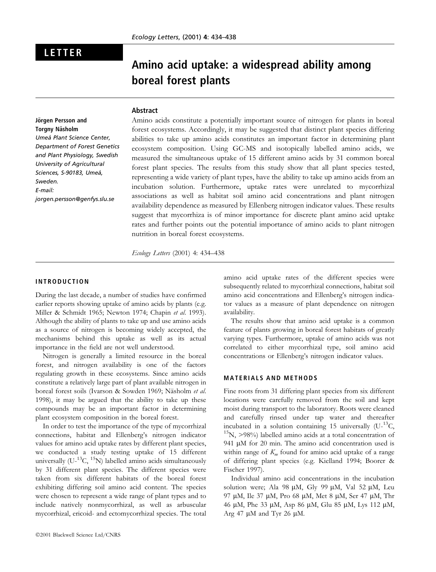# LETTER

# Amino acid uptake: a widespread ability among boreal forest plants

#### Abstract

# Jörgen Persson and Torgny Näsholm

Umeå Plant Science Center, Department of Forest Genetics and Plant Physiology, Swedish University of Agricultural Sciences, S-90183, Umeå, Sweden. E-mail: jorgen.persson@genfys.slu.se

Amino acids constitute a potentially important source of nitrogen for plants in boreal forest ecosystems. Accordingly, it may be suggested that distinct plant species differing abilities to take up amino acids constitutes an important factor in determining plant ecosystem composition. Using GC-MS and isotopically labelled amino acids, we measured the simultaneous uptake of 15 different amino acids by 31 common boreal forest plant species. The results from this study show that all plant species tested, representing a wide variety of plant types, have the ability to take up amino acids from an incubation solution. Furthermore, uptake rates were unrelated to mycorrhizal associations as well as habitat soil amino acid concentrations and plant nitrogen availability dependence as measured by Ellenberg nitrogen indicator values. These results suggest that mycorrhiza is of minor importance for discrete plant amino acid uptake rates and further points out the potential importance of amino acids to plant nitrogen nutrition in boreal forest ecosystems.

Ecology Letters (2001) 4: 434-438

### INTRODUCTION

During the last decade, a number of studies have confirmed earlier reports showing uptake of amino acids by plants (e.g. Miller & Schmidt 1965; Newton 1974; Chapin et al. 1993). Although the ability of plants to take up and use amino acids as a source of nitrogen is becoming widely accepted, the mechanisms behind this uptake as well as its actual importance in the field are not well understood.

Nitrogen is generally a limited resource in the boreal forest, and nitrogen availability is one of the factors regulating growth in these ecosystems. Since amino acids constitute a relatively large part of plant available nitrogen in boreal forest soils (Ivarson & Sowden 1969; Näsholm et al. 1998), it may be argued that the ability to take up these compounds may be an important factor in determining plant ecosystem composition in the boreal forest.

In order to test the importance of the type of mycorrhizal connections, habitat and Ellenberg's nitrogen indicator values for amino acid uptake rates by different plant species, we conducted a study testing uptake of 15 different universally  $(U^{-13}C, {}^{15}N)$  labelled amino acids simultaneously by 31 different plant species. The different species were taken from six different habitats of the boreal forest exhibiting differing soil amino acid content. The species were chosen to represent a wide range of plant types and to include natively nonmycorrhizal, as well as arbuscular mycorrhizal, ericoid- and ectomycorrhizal species. The total

amino acid uptake rates of the different species were subsequently related to mycorrhizal connections, habitat soil amino acid concentrations and Ellenberg's nitrogen indicator values as a measure of plant dependence on nitrogen availability.

The results show that amino acid uptake is a common feature of plants growing in boreal forest habitats of greatly varying types. Furthermore, uptake of amino acids was not correlated to either mycorrhizal type, soil amino acid concentrations or Ellenberg's nitrogen indicator values.

#### MATERIALS AND METHODS

Fine roots from 31 differing plant species from six different locations were carefully removed from the soil and kept moist during transport to the laboratory. Roots were cleaned and carefully rinsed under tap water and thereafter incubated in a solution containing 15 universally  $(U^{-13}C, 15N, >98\%)$  labelled amino acids at a total concentration of 941 µM for 20 min. The amino acid concentration used is within range of  $K<sub>m</sub>$  found for amino acid uptake of a range of differing plant species (e.g. Kielland 1994; Boorer & Fischer 1997).

Individual amino acid concentrations in the incubation solution were; Ala 98  $\mu$ M, Gly 99  $\mu$ M, Val 52  $\mu$ M, Leu 97 lM, Ile 37 lM, Pro 68 lM, Met 8 lM, Ser 47 lM, Thr 46 µM, Phe 33 µM, Asp 86 µM, Glu 85 µM, Lys 112 µM, Arg 47  $\mu$ M and Tyr 26  $\mu$ M.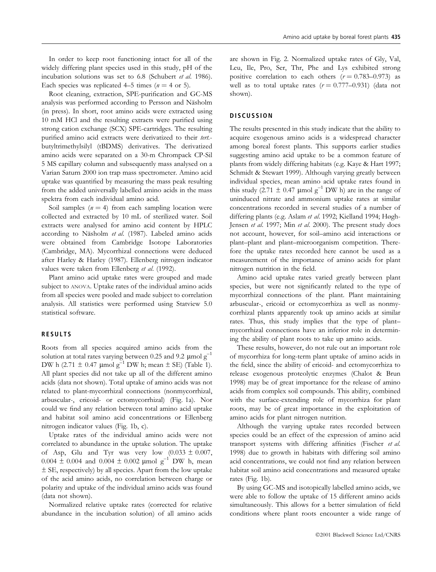In order to keep root functioning intact for all of the widely differing plant species used in this study, pH of the incubation solutions was set to 6.8 (Schubert et al. 1986). Each species was replicated 4–5 times ( $n = 4$  or 5).

Root cleaning, extraction, SPE-purification and GC-MS analysis was performed according to Persson and Näsholm (in press). In short, root amino acids were extracted using 10 mM HCl and the resulting extracts were purified using strong cation exchange (SCX) SPE-cartridges. The resulting purified amino acid extracts were derivatized to their tert.butyltrimethylsilyl (tBDMS) derivatives. The derivatized amino acids were separated on a 30-m Chrompack CP-Sil 5 MS capillary column and subsequently mass analysed on a Varian Saturn 2000 ion trap mass spectrometer. Amino acid uptake was quantified by measuring the mass peak resulting from the added universally labelled amino acids in the mass spektra from each individual amino acid.

Soil samples  $(n = 4)$  from each sampling location were collected and extracted by 10 mL of sterilized water. Soil extracts were analysed for amino acid content by HPLC according to Näsholm et al. (1987). Labeled amino acids were obtained from Cambridge Isotope Laboratories (Cambridge, MA). Mycorrhizal connections were deduced after Harley & Harley (1987). Ellenberg nitrogen indicator values were taken from Ellenberg et al. (1992).

Plant amino acid uptake rates were grouped and made subject to ANOVA. Uptake rates of the individual amino acids from all species were pooled and made subject to correlation analysis. All statistics were performed using Statview 5.0 statistical software.

#### RESULTS

Roots from all species acquired amino acids from the solution at total rates varying between 0.25 and 9.2  $\mu$ mol g<sup>-1</sup> DW h (2.71  $\pm$  0.47 µmol g<sup>-1</sup> DW h; mean  $\pm$  SE) (Table 1). All plant species did not take up all of the different amino acids (data not shown). Total uptake of amino acids was not related to plant-mycorrhizal connections (nonmycorrhizal, arbuscular-, ericoid- or ectomycorrhizal) (Fig. 1a). Nor could we find any relation between total amino acid uptake and habitat soil amino acid concentrations or Ellenberg nitrogen indicator values (Fig. 1b, c).

Uptake rates of the individual amino acids were not correlated to abundance in the uptake solution. The uptake of Asp, Glu and Tyr was very low  $(0.033 \pm 0.007,$  $0.004 \pm 0.004$  and  $0.004 \pm 0.002$  µmol g<sup>-1</sup> DW h, mean  $\pm$  SE, respectively) by all species. Apart from the low uptake of the acid amino acids, no correlation between charge or polarity and uptake of the individual amino acids was found (data not shown).

Normalized relative uptake rates (corrected for relative abundance in the incubation solution) of all amino acids are shown in Fig. 2. Normalized uptake rates of Gly, Val, Leu, Ile, Pro, Ser, Thr, Phe and Lys exhibited strong positive correlation to each others  $(r = 0.783-0.973)$  as well as to total uptake rates  $(r = 0.777-0.931)$  (data not shown).

#### **DISCUSSION**

The results presented in this study indicate that the ability to acquire exogenous amino acids is a widespread character among boreal forest plants. This supports earlier studies suggesting amino acid uptake to be a common feature of plants from widely differing habitats (e.g. Kaye & Hart 1997; Schmidt & Stewart 1999). Although varying greatly between individual species, mean amino acid uptake rates found in this study (2.71  $\pm$  0.47 µmol g<sup>-1</sup> DW h) are in the range of uninduced nitrate and ammonium uptake rates at similar concentrations recorded in several studies of a number of differing plants (e.g. Aslam et al. 1992; Kielland 1994; Høgh-Jensen et al. 1997; Min et al. 2000). The present study does not account, however, for soil-amino acid interactions or plant-plant and plant-microorganism competition. Therefore the uptake rates recorded here cannot be used as a measurement of the importance of amino acids for plant nitrogen nutrition in the field.

Amino acid uptake rates varied greatly between plant species, but were not significantly related to the type of mycorrhizal connections of the plant. Plant maintaining arbuscular-, ericoid or ectomycorrhiza as well as nonmycorrhizal plants apparently took up amino acids at similar rates. Thus, this study implies that the type of plantmycorrhizal connections have an inferior role in determining the ability of plant roots to take up amino acids.

These results, however, do not rule out an important role of mycorrhiza for long-term plant uptake of amino acids in the field, since the ability of ericoid- and ectomycorrhiza to release exogenous proteolytic enzymes (Chalot & Brun 1998) may be of great importance for the release of amino acids from complex soil compounds. This ability, combined with the surface-extending role of mycorrhiza for plant roots, may be of great importance in the exploitation of amino acids for plant nitrogen nutrition.

Although the varying uptake rates recorded between species could be an effect of the expression of amino acid transport systems with differing affinities (Fischer et al. 1998) due to growth in habitats with differing soil amino acid concentrations, we could not find any relation between habitat soil amino acid concentrations and measured uptake rates (Fig. 1b).

By using GC-MS and isotopically labelled amino acids, we were able to follow the uptake of 15 different amino acids simultaneously. This allows for a better simulation of field conditions where plant roots encounter a wide range of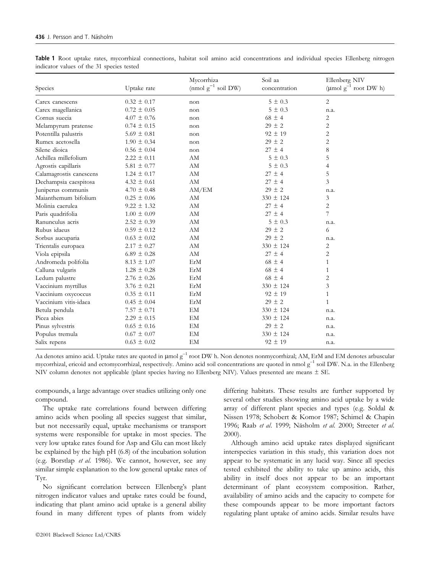| Species                 | Uptake rate     | Mycorrhiza<br>(nmol $g^{-1}$ soil DW) | Soil aa<br>concentration | Ellenberg NIV<br>(µmol $g^{-1}$ root DW h) |
|-------------------------|-----------------|---------------------------------------|--------------------------|--------------------------------------------|
| Carex canescens         | $0.32 \pm 0.17$ | non                                   | $5 \pm 0.3$              | $\overline{2}$                             |
| Carex magellanica       | $0.72 \pm 0.05$ | non                                   | $5 \pm 0.3$              | n.a.                                       |
| Cornus suecia           | $4.07 \pm 0.76$ | non                                   | $68 \pm 4$               | 2                                          |
| Melampyrum pratense     | $0.74 \pm 0.15$ | non                                   | $29 \pm 2$               | 2                                          |
| Potentilla palustris    | $5.69 \pm 0.81$ | non                                   | $92 \pm 19$              | 2                                          |
| Rumex acetosella        | $1.90 \pm 0.34$ | non                                   | $29 \pm 2$               | $\overline{2}$                             |
| Silene dioica           | $0.56 \pm 0.04$ | non                                   | $27 \pm 4$               | 8                                          |
| Achillea millefolium    | $2.22 \pm 0.11$ | AM                                    | $5 \pm 0.3$              | 5                                          |
| Agrostis capillaris     | 5.81 $\pm$ 0.77 | AM                                    | $5 \pm 0.3$              | $\overline{4}$                             |
| Calamagrostis canescens | $1.24 \pm 0.17$ | AM                                    | $27 \pm 4$               | 5                                          |
| Dechampsia caespitosa   | $4.32 \pm 0.61$ | AM                                    | $27 \pm 4$               | 3                                          |
| Juniperus communis      | $4.70 \pm 0.48$ | AM/EM                                 | $29 \pm 2$               | n.a.                                       |
| Maianthemum bifolium    | $0.25 \pm 0.06$ | AM                                    | $330 \pm 124$            | 3                                          |
| Molinia caerulea        | $9.22 \pm 1.32$ | AM                                    | $27 \pm 4$               | 2                                          |
| Paris quadrifolia       | $1.00 \pm 0.09$ | AM                                    | $27 \pm 4$               | 7                                          |
| Ranunculus acris        | $2.52 \pm 0.39$ | AM                                    | $5 \pm 0.3$              | n.a.                                       |
| Rubus idaeus            | $0.59 \pm 0.12$ | AM                                    | $29 \pm 2$               | 6                                          |
| Sorbus aucuparia        | $0.63 \pm 0.02$ | AM                                    | $29 \pm 2$               | n.a.                                       |
| Trientalis europaea     | $2.17 \pm 0.27$ | AM                                    | $330 \pm 124$            | 2                                          |
| Viola epipsila          | $6.89 \pm 0.28$ | AM                                    | $27 \pm 4$               | $\overline{2}$                             |
| Andromeda polifolia     | $8.13 \pm 1.07$ | ErM                                   | $68 \pm 4$               | $\mathbf{1}$                               |
| Calluna vulgaris        | $1.28 \pm 0.28$ | ErM                                   | $68 \pm 4$               | $\mathbf{1}$                               |
| Ledum palustre          | $2.76 \pm 0.26$ | ErM                                   | $68 \pm 4$               | $\overline{2}$                             |
| Vaccinium myrtillus     | $3.76 \pm 0.21$ | ErM                                   | $330 \pm 124$            | 3                                          |
| Vaccinium oxycoccus     | $0.35 \pm 0.11$ | ErM                                   | $92 \pm 19$              | $\mathbf{1}$                               |
| Vaccinium vitis-idaea   | $0.45 \pm 0.04$ | ErM                                   | $29 \pm 2$               | $\mathbf{1}$                               |
| Betula pendula          | $7.57 \pm 0.71$ | EM                                    | $330 \pm 124$            | n.a.                                       |
| Picea abies             | $2.29 \pm 0.15$ | EM                                    | $330 \pm 124$            | n.a.                                       |
| Pinus sylvestris        | $0.65 \pm 0.16$ | EM                                    | $29 \pm 2$               | n.a.                                       |
| Populus tremula         | $0.67 \pm 0.07$ | EM                                    | $330 \pm 124$            | n.a.                                       |
| Salix repens            | $0.63 \pm 0.02$ | EM                                    | $92 \pm 19$              | n.a.                                       |

Table 1 Root uptake rates, mycorrhizal connections, habitat soil amino acid concentrations and individual species Ellenberg nitrogen indicator values of the 31 species tested

Aa denotes amino acid. Uptake rates are quoted in  $\mu$ mol  $g^{-1}$  root DW h. Non denotes nonmycorrhizal; AM, ErM and EM denotes arbuscular mycorrhizal, ericoid and ectomycorrhizal, respectively. Amino acid soil concentrations are quoted in nmol  $g^{-1}$  soil DW. N.a. in the Ellenberg NIV column denotes not applicable (plant species having no Ellenberg NIV). Values presented are means  $\pm$  SE.

compounds, a large advantage over studies utilizing only one compound.

The uptake rate correlations found between differing amino acids when pooling all species suggest that similar, but not necessarily equal, uptake mechanisms or transport systems were responsible for uptake in most species. The very low uptake rates found for Asp and Glu can most likely be explained by the high pH (6.8) of the incubation solution (e.g. Borstlap et al. 1986). We cannot, however, see any similar simple explanation to the low general uptake rates of Tyr.

No significant correlation between Ellenberg's plant nitrogen indicator values and uptake rates could be found, indicating that plant amino acid uptake is a general ability found in many different types of plants from widely differing habitats. These results are further supported by several other studies showing amino acid uptake by a wide array of different plant species and types (e.g. Soldal & Nissen 1978; Schobert & Komor 1987; Schimel & Chapin 1996; Raab et al. 1999; Näsholm et al. 2000; Streeter et al. 2000).

Although amino acid uptake rates displayed significant interspecies variation in this study, this variation does not appear to be systematic in any lucid way. Since all species tested exhibited the ability to take up amino acids, this ability in itself does not appear to be an important determinant of plant ecosystem composition. Rather, availability of amino acids and the capacity to compete for these compounds appear to be more important factors regulating plant uptake of amino acids. Similar results have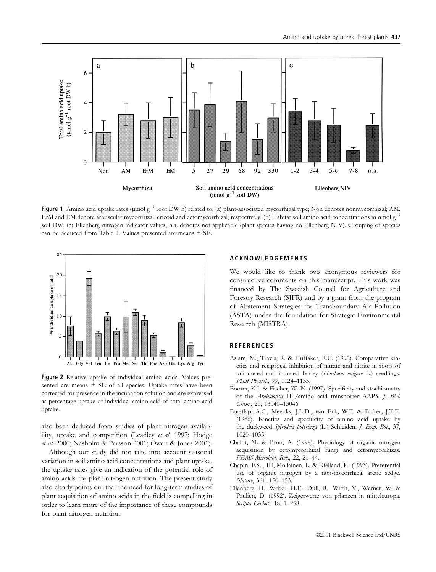

Figure 1 Amino acid uptake rates ( $\mu$ mol  $g^{-1}$  root DW h) related to: (a) plant-associated mycorrhizal type; Non denotes nonmycorrhizal; AM, ErM and EM denote arbuscular mycorrhizal, ericoid and ectomycorrhizal, respectively. (b) Habitat soil amino acid concentrations in nmol  $g^{-1}$ soil DW. (c) Ellenberg nitrogen indicator values, n.a. denotes not applicable (plant species having no Ellenberg NIV). Grouping of species can be deduced from Table 1. Values presented are means  $\pm$  SE.



Figure 2 Relative uptake of individual amino acids. Values presented are means  $\pm$  SE of all species. Uptake rates have been corrected for presence in the incubation solution and are expressed as percentage uptake of individual amino acid of total amino acid uptake.

also been deduced from studies of plant nitrogen availability, uptake and competition (Leadley et al. 1997; Hodge et al. 2000; Näsholm & Persson 2001; Owen & Jones 2001).

Although our study did not take into account seasonal variation in soil amino acid concentrations and plant uptake, the uptake rates give an indication of the potential role of amino acids for plant nitrogen nutrition. The present study also clearly points out that the need for long-term studies of plant acquisition of amino acids in the field is compelling in order to learn more of the importance of these compounds for plant nitrogen nutrition.

#### ACKNOWLEDGEMENTS

We would like to thank two anonymous reviewers for constructive comments on this manuscript. This work was financed by The Swedish Counsil for Agriculture and Forestry Research (SJFR) and by a grant from the program of Abatement Strategies for Transboundary Air Pollution (ASTA) under the foundation for Strategic Environmental Research (MISTRA).

# **REFERENCES**

- Aslam, M., Travis, R. & Huffaker, R.C. (1992). Comparative kinetics and reciprocal inhibition of nitrate and nitrite in roots of uninduced and induced Barley (Hordeum vulgare L.) seedlings. Plant Physiol., 99, 1124-1133.
- Boorer, K.J. & Fischer, W.-N. (1997). Specificity and stochiometry of the Arabidopsis  $H^+$ /amino acid transporter AAP5. J. Biol. Chem., 20, 13040-13046.
- Borstlap, A.C., Meenks, J.L.D., van Eck, W.F. & Bicker, J.T.E. (1986). Kinetics and specificity of amino acid uptake by the duckweed Spirodela polyrhiza (L.) Schleiden. J. Exp. Bot., 37, 1020±1035.
- Chalot, M. & Brun, A. (1998). Physiology of organic nitrogen acquisition by ectomycorrhizal fungi and ectomycorrhizas. FEMS Microbiol. Rev., 22, 21-44.
- Chapin, F.S. , III, Moilainen, L. & Kielland, K. (1993). Preferential use of organic nitrogen by a non-mycorrhizal arctic sedge. Nature, 361, 150-153.
- Ellenberg, H., Weber, H.E., Düll, R., Wirth, V., Werner, W. & Paulien, D. (1992). Zeigerwerte von pflanzen in mitteleuropa. Scripta Geobot., 18, 1-258.